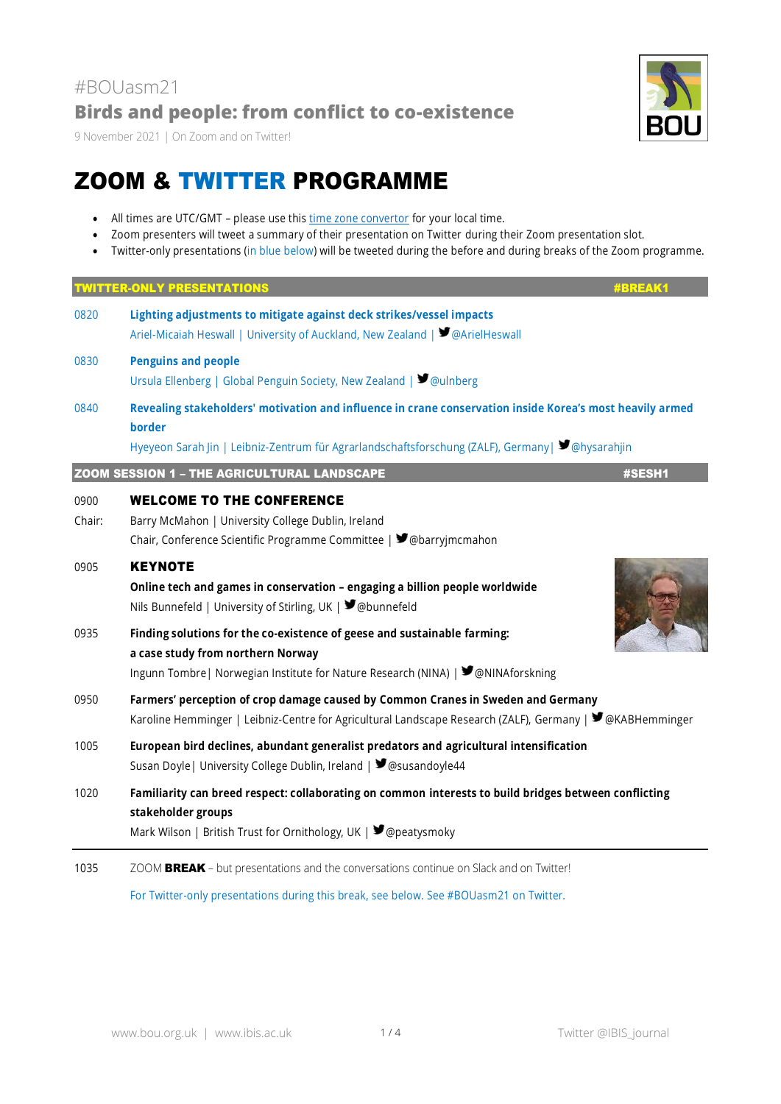9 November 2021 | On Zoom and on Twitter!

# ZOOM & TWITTER PROGRAMME

- All times are UTC/GMT please use this [time zone convertor](https://www.timeanddate.com/worldclock/converter.html) for your local time.
- Zoom presenters will tweet a summary of their presentation on Twitter during their Zoom presentation slot.
- Twitter-only presentations (in blue below) will be tweeted during the before and during breaks of the Zoom programme.

| <b>TWITTER-ONLY PRESENTATIONS</b><br><b>#BREAK1</b> |                                                                                                                                                                                                                        |
|-----------------------------------------------------|------------------------------------------------------------------------------------------------------------------------------------------------------------------------------------------------------------------------|
| 0820                                                | Lighting adjustments to mitigate against deck strikes/vessel impacts<br>Ariel-Micaiah Heswall   University of Auckland, New Zealand   ■ @ArielHeswall                                                                  |
| 0830                                                | <b>Penguins and people</b><br>Ursula Ellenberg   Global Penguin Society, New Zealand   ■ @ulnberg                                                                                                                      |
| 0840                                                | Revealing stakeholders' motivation and influence in crane conservation inside Korea's most heavily armed<br>border<br>Hyeyeon Sarah Jin   Leibniz-Zentrum für Agrarlandschaftsforschung (ZALF), Germany   Sohysarahjin |
|                                                     |                                                                                                                                                                                                                        |
|                                                     | <b>ZOOM SESSION 1 - THE AGRICULTURAL LANDSCAPE</b><br>#SESH1                                                                                                                                                           |
| 0900<br>Chair:                                      | <b>WELCOME TO THE CONFERENCE</b><br>Barry McMahon   University College Dublin, Ireland<br>Chair, Conference Scientific Programme Committee   ■ @barryjmcmahon                                                          |
| 0905                                                | <b>KEYNOTE</b><br>Online tech and games in conservation - engaging a billion people worldwide<br>Nils Bunnefeld   University of Stirling, UK   ■ @bunnefeld                                                            |
| 0935                                                | Finding solutions for the co-existence of geese and sustainable farming:<br>a case study from northern Norway<br>Ingunn Tombre   Norwegian Institute for Nature Research (NINA)   ♥ @NINAforskning                     |
| 0950                                                | Farmers' perception of crop damage caused by Common Cranes in Sweden and Germany<br>Karoline Hemminger   Leibniz-Centre for Agricultural Landscape Research (ZALF), Germany   ♥ @KABHemminger                          |
| 1005                                                | European bird declines, abundant generalist predators and agricultural intensification<br>Susan Doyle   University College Dublin, Ireland   ■ @susandoyle44                                                           |
| 1020                                                | Familiarity can breed respect: collaborating on common interests to build bridges between conflicting<br>stakeholder groups<br>Mark Wilson   British Trust for Ornithology, UK   ♥ @peatysmoky                         |
| 1035                                                | ZOOM BREAK - but presentations and the conversations continue on Slack and on Twitter!                                                                                                                                 |

For Twitter-only presentations during this break, see below. See #BOUasm21 on Twitter.

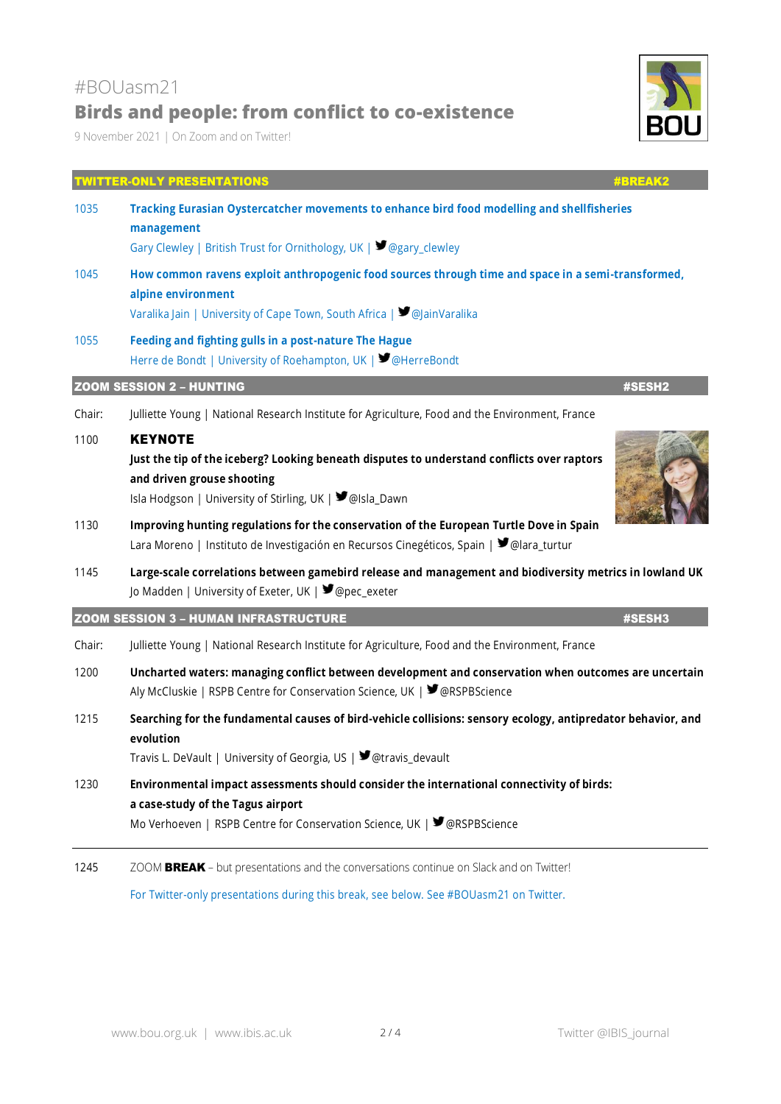# #BOUasm21 **Birds and people: from conflict to co-existence**

9 November 2021 | On Zoom and on Twitter!

# TWITTER-ONLY PRESENTATIONS #BREAK2 1035 **Tracking Eurasian Oystercatcher movements to enhance bird food modelling and shellfisheries management** Gary Clewley | British Trust for Ornithology, UK |  $\blacktriangleright$  @gary\_clewley 1045 **How common ravens exploit anthropogenic food sources through time and space in a semi-transformed, alpine environment** Varalika Jain | University of Cape Town, South Africa | ■ @JainVaralika 1055 **Feeding and fighting gulls in a post-nature The Hague** Herre de Bondt | University of Roehampton, UK | ■ @HerreBondt **ZOOM SESSION 2 – HUNTING #SESH2** Chair: Julliette Young | National Research Institute for Agriculture, Food and the Environment, France 1100 KEYNOTE **Just the tip of the iceberg? Looking beneath disputes to understand conflicts over raptors and driven grouse shooting** Isla Hodgson | University of Stirling, UK | ■ @Isla\_Dawn 1130 **Improving hunting regulations for the conservation of the European Turtle Dove in Spain** Lara Moreno | Instituto de Investigación en Recursos Cinegéticos, Spain |  $\blacktriangleright$  @lara\_turtur 1145 **Large-scale correlations between gamebird release and management and biodiversity metrics in lowland UK** Io Madden | University of Exeter, UK | ■ @pec\_exeter **ZOOM SESSION 3 – HUMAN INFRASTRUCTURE** #SESH3 Chair: Julliette Young | National Research Institute for Agriculture, Food and the Environment, France 1200 **Uncharted waters: managing conflict between development and conservation when outcomes are uncertain**  Aly McCluskie | RSPB Centre for Conservation Science, UK | ■ @RSPBScience 1215 **Searching for the fundamental causes of bird-vehicle collisions: sensory ecology, antipredator behavior, and evolution** Travis L. DeVault | University of Georgia, US |  $\blacktriangleright$  @travis\_devault 1230 **Environmental impact assessments should consider the international connectivity of birds: a case-study of the Tagus airport**  Mo Verhoeven | RSPB Centre for Conservation Science, UK | ■ @RSPBScience

1245 ZOOM BREAK – but presentations and the conversations continue on Slack and on Twitter!

For Twitter-only presentations during this break, see below. See #BOUasm21 on Twitter.

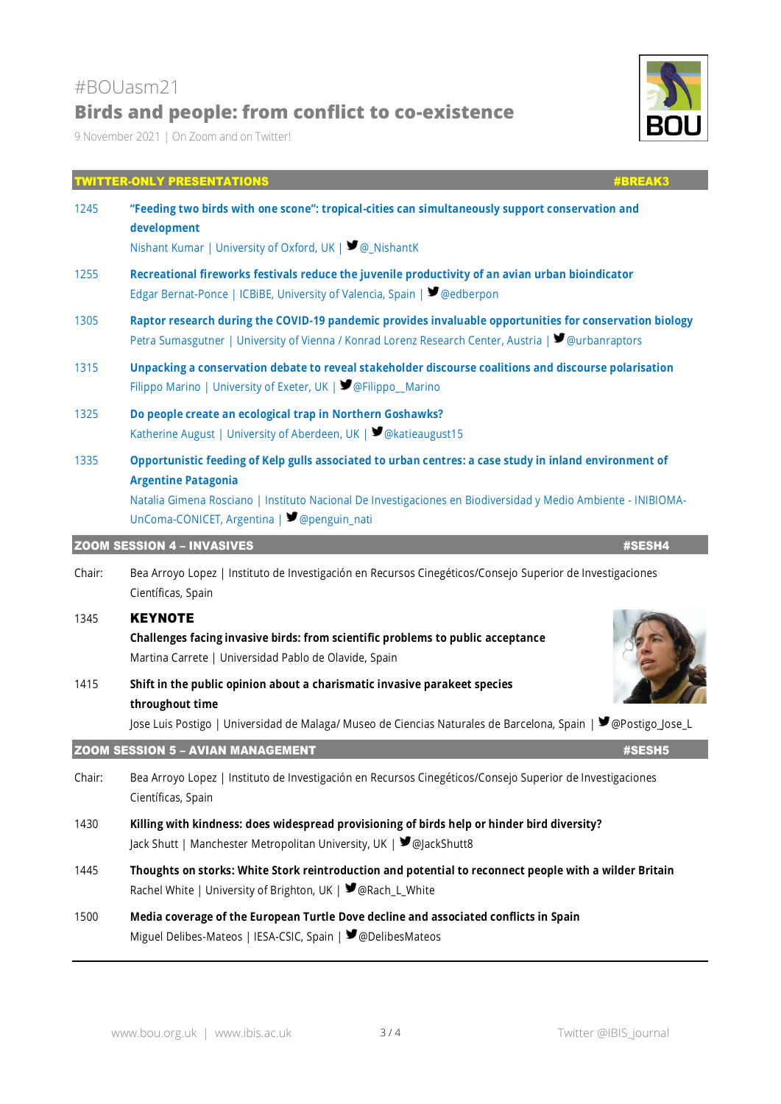# Nishant Kumar | University of Oxford, UK |  $\blacktriangledown_{\textcircled{a}}$  NishantK 1255 **Recreational fireworks festivals reduce the juvenile productivity of an avian urban bioindicator**

Edgar Bernat-Ponce | ICBiBE, University of Valencia, Spain | ■ @edberpon

**Birds and people: from conflict to co-existence**

- 1305 **Raptor research during the COVID-19 pandemic provides invaluable opportunities for conservation biology** Petra Sumasgutner | University of Vienna / Konrad Lorenz Research Center, Austria |  $\blacktriangledown$  @urbanraptors
- 1315 **Unpacking a conservation debate to reveal stakeholder discourse coalitions and discourse polarisation** Filippo Marino | University of Exeter, UK | ■ @Filippo\_Marino

TWITTER-ONLY PRESENTATIONS #BREAK3

- 1325 **Do people create an ecological trap in Northern Goshawks?** Katherine August | University of Aberdeen, UK | ■ @katieaugust15
- 1335 **Opportunistic feeding of Kelp gulls associated to urban centres: a case study in inland environment of Argentine Patagonia**

Natalia Gimena Rosciano | Instituto Nacional De Investigaciones en Biodiversidad y Medio Ambiente - INIBIOMA-UnComa-CONICET, Argentina |  $\blacktriangleright$  @penguin\_nati

#### ZOOM SESSION 4 – INVASIVES #SESH4

Chair: Bea Arroyo Lopez | Instituto de Investigación en Recursos Cinegéticos/Consejo Superior de Investigaciones Científicas, Spain

#### 1345 KEYNOTE

#BOUasm21

9 November 2021 | On Zoom and on Twitter!

**development**

**Challenges facing invasive birds: from scientific problems to public acceptance** Martina Carrete | Universidad Pablo de Olavide, Spain

#### 1415 **Shift in the public opinion about a charismatic invasive parakeet species throughout time**

Jose Luis Postigo | Universidad de Malaga/ Museo de Ciencias Naturales de Barcelona, Spain | @Postigo\_Jose\_L

#### **ZOOM SESSION 5 – AVIAN MANAGEMENT #SESH5**

- Chair: Bea Arroyo Lopez | Instituto de Investigación en Recursos Cinegéticos/Consejo Superior de Investigaciones Científicas, Spain
- 1430 **Killing with kindness: does widespread provisioning of birds help or hinder bird diversity?**  Jack Shutt | Manchester Metropolitan University, UK | @JackShutt8
- 1445 **Thoughts on storks: White Stork reintroduction and potential to reconnect people with a wilder Britain**  Rachel White | University of Brighton, UK |  $\blacktriangleright$  @Rach\_L\_White
- 1500 **Media coverage of the European Turtle Dove decline and associated conflicts in Spain** Miguel Delibes-Mateos | IESA-CSIC, Spain | ■ @DelibesMateos





1245 **"Feeding two birds with one scone": tropical-cities can simultaneously support conservation and**